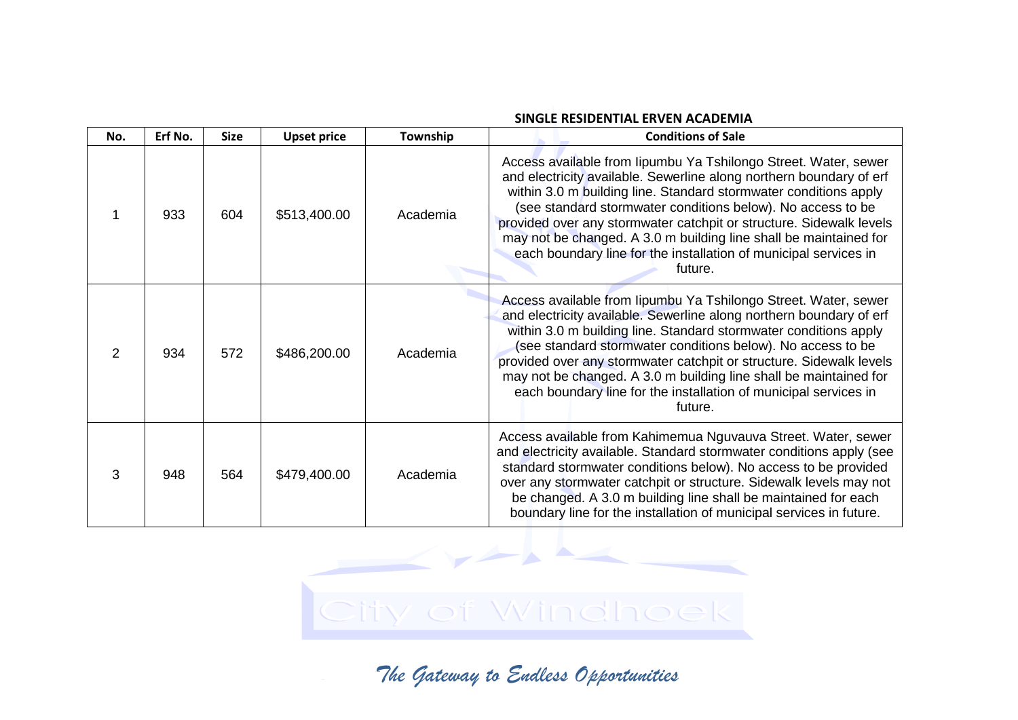| No.           | Erf No. | <b>Size</b> | <b>Upset price</b> | Township | <b>Conditions of Sale</b>                                                                                                                                                                                                                                                                                                                                                                                                                                                                            |
|---------------|---------|-------------|--------------------|----------|------------------------------------------------------------------------------------------------------------------------------------------------------------------------------------------------------------------------------------------------------------------------------------------------------------------------------------------------------------------------------------------------------------------------------------------------------------------------------------------------------|
|               | 933     | 604         | \$513,400.00       | Academia | Access available from lipumbu Ya Tshilongo Street. Water, sewer<br>and electricity available. Sewerline along northern boundary of erf<br>within 3.0 m building line. Standard stormwater conditions apply<br>(see standard stormwater conditions below). No access to be<br>provided over any stormwater catchpit or structure. Sidewalk levels<br>may not be changed. A 3.0 m building line shall be maintained for<br>each boundary line for the installation of municipal services in<br>future. |
| $\mathcal{P}$ | 934     | 572         | \$486,200.00       | Academia | Access available from lipumbu Ya Tshilongo Street. Water, sewer<br>and electricity available. Sewerline along northern boundary of erf<br>within 3.0 m building line. Standard stormwater conditions apply<br>(see standard stormwater conditions below). No access to be<br>provided over any stormwater catchpit or structure. Sidewalk levels<br>may not be changed. A 3.0 m building line shall be maintained for<br>each boundary line for the installation of municipal services in<br>future. |
| 3             | 948     | 564         | \$479,400.00       | Academia | Access available from Kahimemua Nguvauva Street. Water, sewer<br>and electricity available. Standard stormwater conditions apply (see<br>standard stormwater conditions below). No access to be provided<br>over any stormwater catchpit or structure. Sidewalk levels may not<br>be changed. A 3.0 m building line shall be maintained for each<br>boundary line for the installation of municipal services in future.                                                                              |

## **SINGLE RESIDENTIAL ERVEN ACADEMIA**

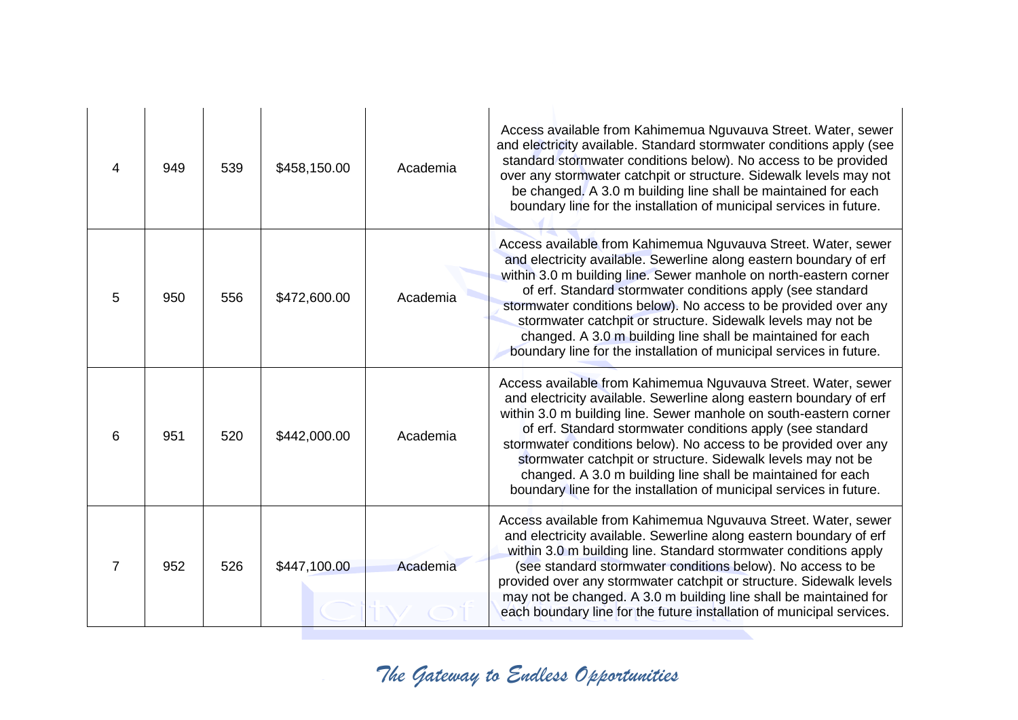| 4 | 949 | 539 | \$458,150.00 | Academia | Access available from Kahimemua Nguvauva Street. Water, sewer<br>and electricity available. Standard stormwater conditions apply (see<br>standard stormwater conditions below). No access to be provided<br>over any stormwater catchpit or structure. Sidewalk levels may not<br>be changed. A 3.0 m building line shall be maintained for each<br>boundary line for the installation of municipal services in future.                                                                                                                         |
|---|-----|-----|--------------|----------|-------------------------------------------------------------------------------------------------------------------------------------------------------------------------------------------------------------------------------------------------------------------------------------------------------------------------------------------------------------------------------------------------------------------------------------------------------------------------------------------------------------------------------------------------|
| 5 | 950 | 556 | \$472,600.00 | Academia | Access available from Kahimemua Nguvauva Street. Water, sewer<br>and electricity available. Sewerline along eastern boundary of erf<br>within 3.0 m building line. Sewer manhole on north-eastern corner<br>of erf. Standard stormwater conditions apply (see standard<br>stormwater conditions below). No access to be provided over any<br>stormwater catchpit or structure. Sidewalk levels may not be<br>changed. A 3.0 m building line shall be maintained for each<br>boundary line for the installation of municipal services in future. |
| 6 | 951 | 520 | \$442,000.00 | Academia | Access available from Kahimemua Nguvauva Street. Water, sewer<br>and electricity available. Sewerline along eastern boundary of erf<br>within 3.0 m building line. Sewer manhole on south-eastern corner<br>of erf. Standard stormwater conditions apply (see standard<br>stormwater conditions below). No access to be provided over any<br>stormwater catchpit or structure. Sidewalk levels may not be<br>changed. A 3.0 m building line shall be maintained for each<br>boundary line for the installation of municipal services in future. |
| 7 | 952 | 526 | \$447,100.00 | Academia | Access available from Kahimemua Nguvauva Street. Water, sewer<br>and electricity available. Sewerline along eastern boundary of erf<br>within 3.0 m building line. Standard stormwater conditions apply<br>(see standard stormwater conditions below). No access to be<br>provided over any stormwater catchpit or structure. Sidewalk levels<br>may not be changed. A 3.0 m building line shall be maintained for<br>each boundary line for the future installation of municipal services.                                                     |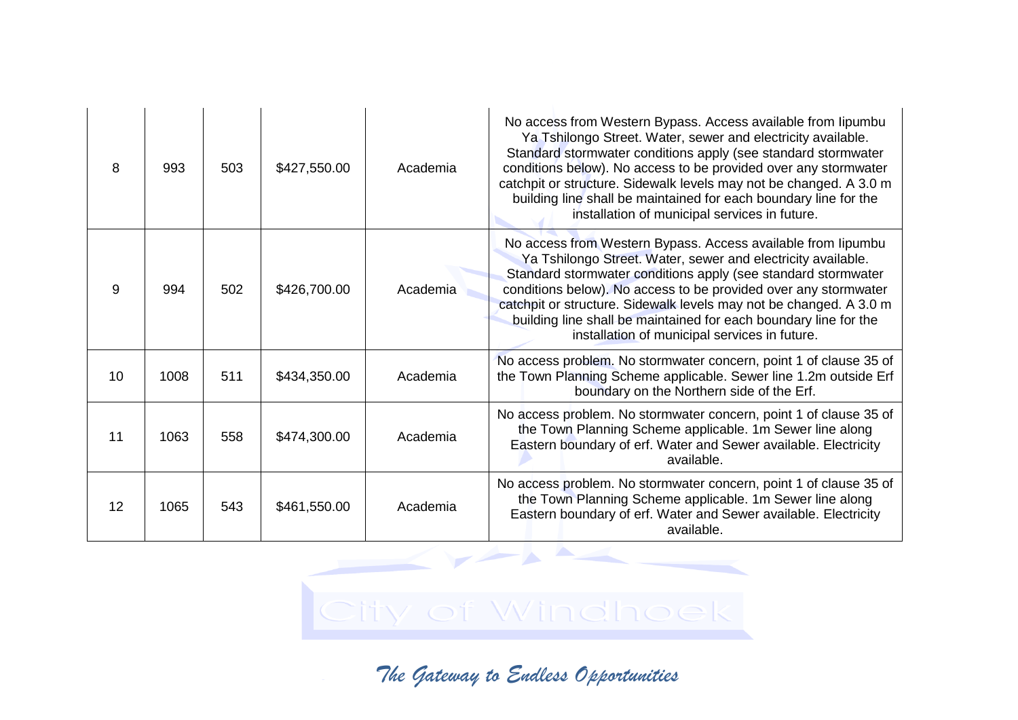| 8  | 993  | 503 | \$427,550.00 | Academia | No access from Western Bypass. Access available from lipumbu<br>Ya Tshilongo Street. Water, sewer and electricity available.<br>Standard stormwater conditions apply (see standard stormwater<br>conditions below). No access to be provided over any stormwater<br>catchpit or structure. Sidewalk levels may not be changed. A 3.0 m<br>building line shall be maintained for each boundary line for the<br>installation of municipal services in future. |
|----|------|-----|--------------|----------|-------------------------------------------------------------------------------------------------------------------------------------------------------------------------------------------------------------------------------------------------------------------------------------------------------------------------------------------------------------------------------------------------------------------------------------------------------------|
| 9  | 994  | 502 | \$426,700.00 | Academia | No access from Western Bypass. Access available from lipumbu<br>Ya Tshilongo Street. Water, sewer and electricity available.<br>Standard stormwater conditions apply (see standard stormwater<br>conditions below). No access to be provided over any stormwater<br>catchpit or structure. Sidewalk levels may not be changed. A 3.0 m<br>building line shall be maintained for each boundary line for the<br>installation of municipal services in future. |
| 10 | 1008 | 511 | \$434,350.00 | Academia | No access problem. No stormwater concern, point 1 of clause 35 of<br>the Town Planning Scheme applicable. Sewer line 1.2m outside Erf<br>boundary on the Northern side of the Erf.                                                                                                                                                                                                                                                                          |
| 11 | 1063 | 558 | \$474,300.00 | Academia | No access problem. No stormwater concern, point 1 of clause 35 of<br>the Town Planning Scheme applicable. 1m Sewer line along<br>Eastern boundary of erf. Water and Sewer available. Electricity<br>available.                                                                                                                                                                                                                                              |
| 12 | 1065 | 543 | \$461,550.00 | Academia | No access problem. No stormwater concern, point 1 of clause 35 of<br>the Town Planning Scheme applicable. 1m Sewer line along<br>Eastern boundary of erf. Water and Sewer available. Electricity<br>available.                                                                                                                                                                                                                                              |

## City of Windhoek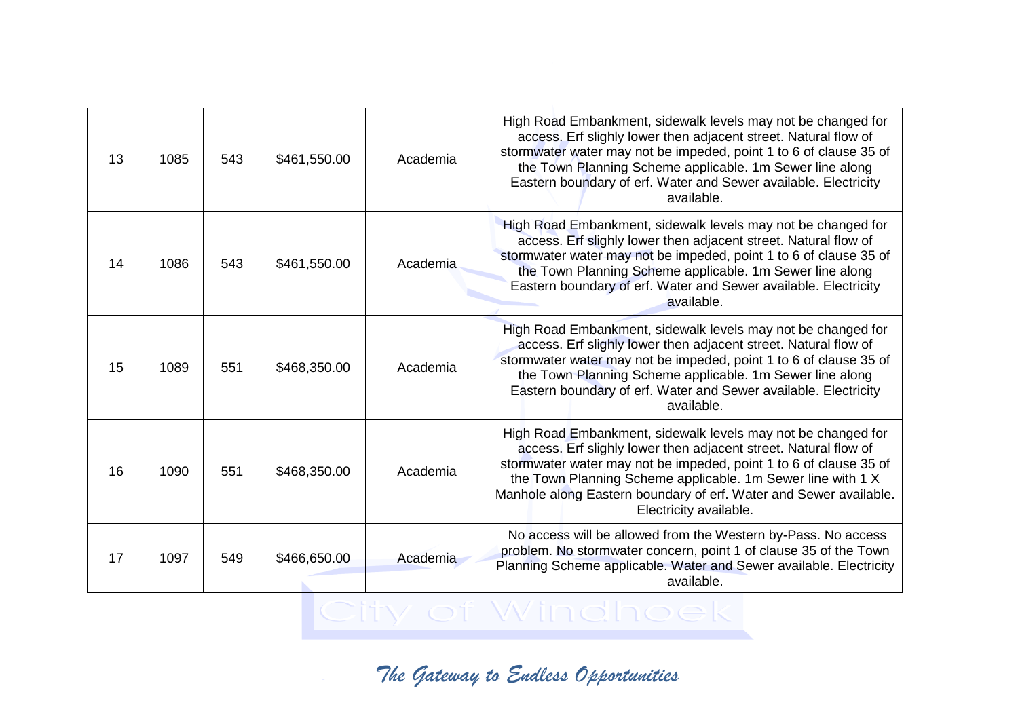| 13 | 1085 | 543 | \$461,550.00 | Academia | High Road Embankment, sidewalk levels may not be changed for<br>access. Erf slighly lower then adjacent street. Natural flow of<br>stormwater water may not be impeded, point 1 to 6 of clause 35 of<br>the Town Planning Scheme applicable. 1m Sewer line along<br>Eastern boundary of erf. Water and Sewer available. Electricity<br>available.                  |
|----|------|-----|--------------|----------|--------------------------------------------------------------------------------------------------------------------------------------------------------------------------------------------------------------------------------------------------------------------------------------------------------------------------------------------------------------------|
| 14 | 1086 | 543 | \$461,550.00 | Academia | High Road Embankment, sidewalk levels may not be changed for<br>access. Erf slighly lower then adjacent street. Natural flow of<br>stormwater water may not be impeded, point 1 to 6 of clause 35 of<br>the Town Planning Scheme applicable. 1m Sewer line along<br>Eastern boundary of erf. Water and Sewer available. Electricity<br>available.                  |
| 15 | 1089 | 551 | \$468,350.00 | Academia | High Road Embankment, sidewalk levels may not be changed for<br>access. Erf slighly lower then adjacent street. Natural flow of<br>stormwater water may not be impeded, point 1 to 6 of clause 35 of<br>the Town Planning Scheme applicable. 1m Sewer line along<br>Eastern boundary of erf. Water and Sewer available. Electricity<br>available.                  |
| 16 | 1090 | 551 | \$468,350.00 | Academia | High Road Embankment, sidewalk levels may not be changed for<br>access. Erf slighly lower then adjacent street. Natural flow of<br>stormwater water may not be impeded, point 1 to 6 of clause 35 of<br>the Town Planning Scheme applicable. 1m Sewer line with 1 X<br>Manhole along Eastern boundary of erf. Water and Sewer available.<br>Electricity available. |
| 17 | 1097 | 549 | \$466,650.00 | Academia | No access will be allowed from the Western by-Pass. No access<br>problem. No stormwater concern, point 1 of clause 35 of the Town<br>Planning Scheme applicable. Water and Sewer available. Electricity<br>available.                                                                                                                                              |

City of Windhoek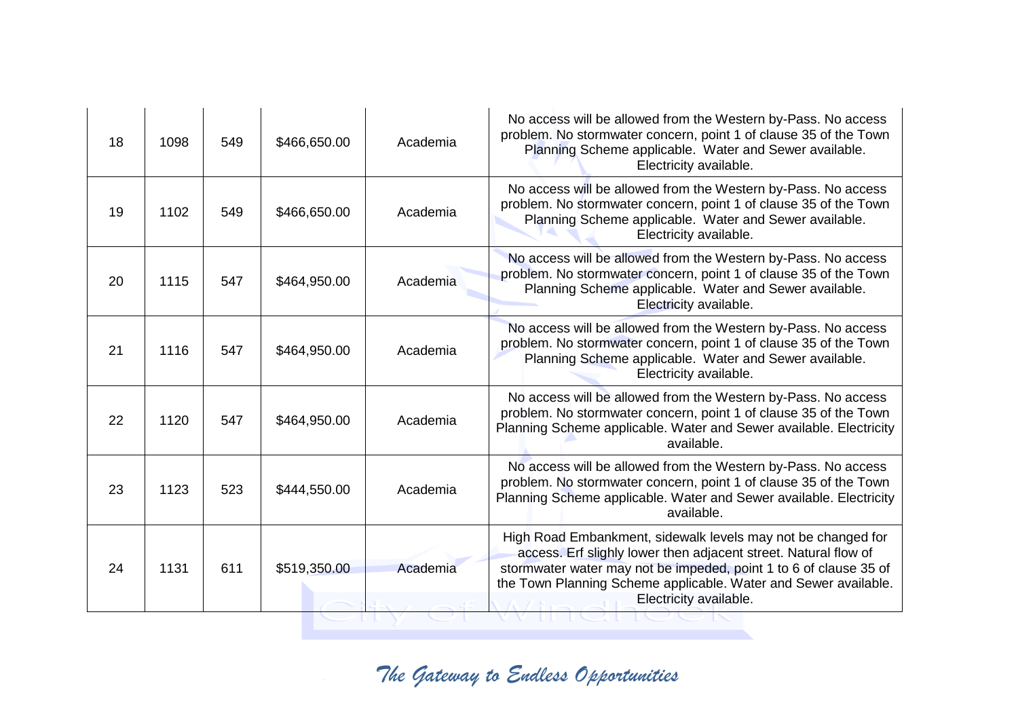| 18 | 1098 | 549 | \$466,650.00 | Academia | No access will be allowed from the Western by-Pass. No access<br>problem. No stormwater concern, point 1 of clause 35 of the Town<br>Planning Scheme applicable. Water and Sewer available.<br>Electricity available.                                                                             |
|----|------|-----|--------------|----------|---------------------------------------------------------------------------------------------------------------------------------------------------------------------------------------------------------------------------------------------------------------------------------------------------|
| 19 | 1102 | 549 | \$466,650.00 | Academia | No access will be allowed from the Western by-Pass. No access<br>problem. No stormwater concern, point 1 of clause 35 of the Town<br>Planning Scheme applicable. Water and Sewer available.<br>Electricity available.                                                                             |
| 20 | 1115 | 547 | \$464,950.00 | Academia | No access will be allowed from the Western by-Pass. No access<br>problem. No stormwater concern, point 1 of clause 35 of the Town<br>Planning Scheme applicable. Water and Sewer available.<br>Electricity available.                                                                             |
| 21 | 1116 | 547 | \$464,950.00 | Academia | No access will be allowed from the Western by-Pass. No access<br>problem. No stormwater concern, point 1 of clause 35 of the Town<br>Planning Scheme applicable. Water and Sewer available.<br>Electricity available.                                                                             |
| 22 | 1120 | 547 | \$464,950.00 | Academia | No access will be allowed from the Western by-Pass. No access<br>problem. No stormwater concern, point 1 of clause 35 of the Town<br>Planning Scheme applicable. Water and Sewer available. Electricity<br>available.                                                                             |
| 23 | 1123 | 523 | \$444,550.00 | Academia | No access will be allowed from the Western by-Pass. No access<br>problem. No stormwater concern, point 1 of clause 35 of the Town<br>Planning Scheme applicable. Water and Sewer available. Electricity<br>available.                                                                             |
| 24 | 1131 | 611 | \$519,350.00 | Academia | High Road Embankment, sidewalk levels may not be changed for<br>access. Erf slighly lower then adjacent street. Natural flow of<br>stormwater water may not be impeded, point 1 to 6 of clause 35 of<br>the Town Planning Scheme applicable. Water and Sewer available.<br>Electricity available. |